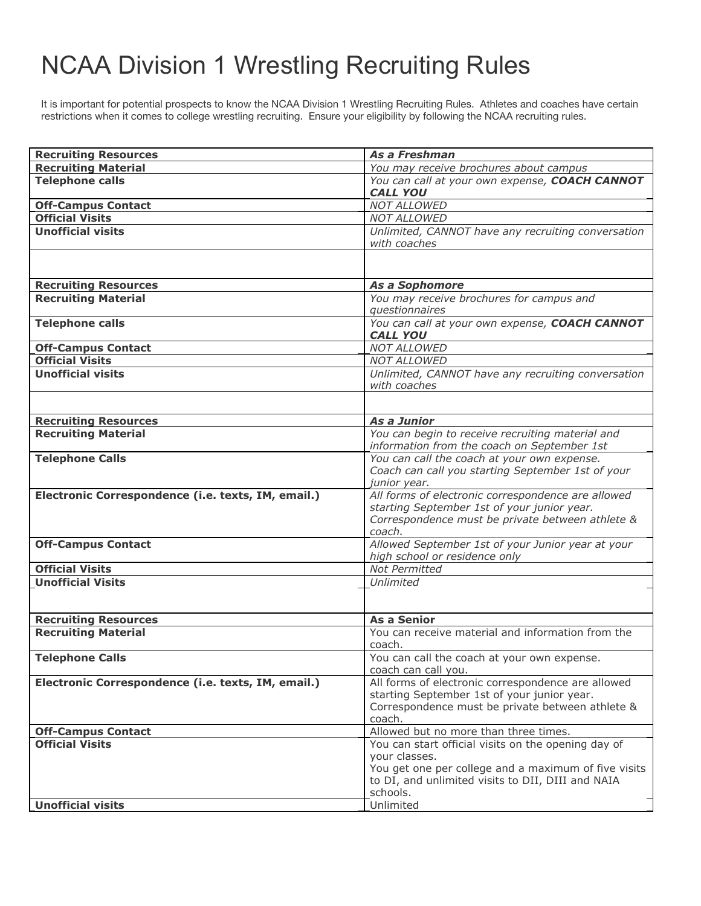# NCAA Division 1 Wrestling Recruiting Rules

It is important for potential prospects to know the NCAA Division 1 Wrestling Recruiting Rules. Athletes and coaches have certain restrictions when it comes to college wrestling recruiting. Ensure your eligibility by following the NCAA recruiting rules.

| <b>Recruiting Resources</b>                          | As a Freshman                                                                                                                                                   |
|------------------------------------------------------|-----------------------------------------------------------------------------------------------------------------------------------------------------------------|
| <b>Recruiting Material</b><br><b>Telephone calls</b> | You may receive brochures about campus                                                                                                                          |
|                                                      | You can call at your own expense, COACH CANNOT<br><b>CALL YOU</b>                                                                                               |
| <b>Off-Campus Contact</b>                            | <b>NOT ALLOWED</b>                                                                                                                                              |
| <b>Official Visits</b>                               | <b>NOT ALLOWED</b>                                                                                                                                              |
| <b>Unofficial visits</b>                             | Unlimited, CANNOT have any recruiting conversation<br>with coaches                                                                                              |
|                                                      |                                                                                                                                                                 |
| <b>Recruiting Resources</b>                          | <b>As a Sophomore</b>                                                                                                                                           |
| <b>Recruiting Material</b>                           | You may receive brochures for campus and                                                                                                                        |
|                                                      | questionnaires                                                                                                                                                  |
| <b>Telephone calls</b>                               | You can call at your own expense, COACH CANNOT<br><b>CALL YOU</b>                                                                                               |
| <b>Off-Campus Contact</b>                            | <b>NOT ALLOWED</b>                                                                                                                                              |
| <b>Official Visits</b>                               | <b>NOT ALLOWED</b>                                                                                                                                              |
| <b>Unofficial visits</b>                             | Unlimited, CANNOT have any recruiting conversation<br>with coaches                                                                                              |
|                                                      |                                                                                                                                                                 |
| <b>Recruiting Resources</b>                          | As a Junior                                                                                                                                                     |
| <b>Recruiting Material</b>                           | You can begin to receive recruiting material and<br>information from the coach on September 1st                                                                 |
| <b>Telephone Calls</b>                               | You can call the coach at your own expense.<br>Coach can call you starting September 1st of your<br>junior year.                                                |
| Electronic Correspondence (i.e. texts, IM, email.)   | All forms of electronic correspondence are allowed<br>starting September 1st of your junior year.<br>Correspondence must be private between athlete &<br>coach. |
| <b>Off-Campus Contact</b>                            | Allowed September 1st of your Junior year at your<br>high school or residence only                                                                              |
| <b>Official Visits</b>                               | Not Permitted                                                                                                                                                   |
| <b>Unofficial Visits</b>                             | Unlimited                                                                                                                                                       |
|                                                      |                                                                                                                                                                 |
| <b>Recruiting Resources</b>                          | As a Senior                                                                                                                                                     |
| <b>Recruiting Material</b>                           | You can receive material and information from the<br>coach.                                                                                                     |
| <b>Telephone Calls</b>                               | You can call the coach at your own expense.<br>coach can call you.                                                                                              |
| Electronic Correspondence (i.e. texts, IM, email.)   | All forms of electronic correspondence are allowed<br>starting September 1st of your junior year.<br>Correspondence must be private between athlete &           |
|                                                      | coach.                                                                                                                                                          |
| <b>Off-Campus Contact</b>                            | Allowed but no more than three times.                                                                                                                           |
| <b>Official Visits</b>                               | You can start official visits on the opening day of<br>your classes.<br>You get one per college and a maximum of five visits                                    |
|                                                      | to DI, and unlimited visits to DII, DIII and NAIA<br>schools.                                                                                                   |
| <b>Unofficial visits</b>                             | Unlimited                                                                                                                                                       |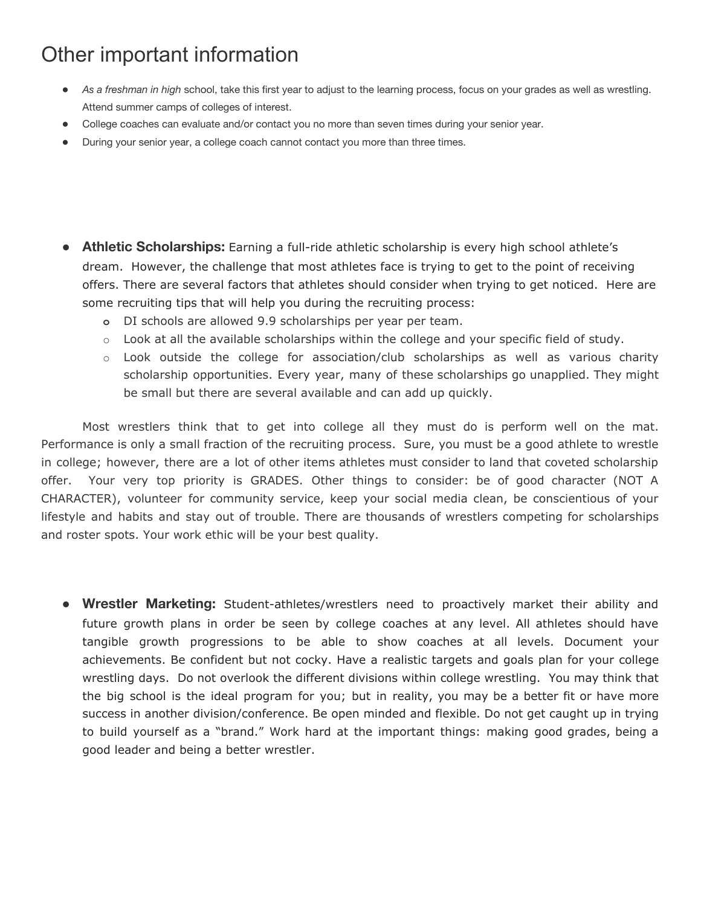## Other important information

- *As a freshman in high* school, take this first year to adjust to the learning process, focus on your grades as well as wrestling. Attend summer camps of colleges of interest.
- College coaches can evaluate and/or contact you no more than seven times during your senior year.
- During your senior year, a college coach cannot contact you more than three times.
- **Athletic Scholarships:** Earning a full-ride athletic scholarship is every high school athlete's dream. However, the challenge that most athletes face is trying to get to the point of receiving offers. There are several factors that athletes should consider when trying to get noticed. Here are some recruiting tips that will help you during the recruiting process:
	- **o** DI schools are allowed 9.9 scholarships per year per team.
	- o Look at all the available scholarships within the college and your specific field of study.
	- $\circ$  Look outside the college for association/club scholarships as well as various charity scholarship opportunities. Every year, many of these scholarships go unapplied. They might be small but there are several available and can add up quickly.

Most wrestlers think that to get into college all they must do is perform well on the mat. Performance is only a small fraction of the recruiting process. Sure, you must be a good athlete to wrestle in college; however, there are a lot of other items athletes must consider to land that coveted scholarship offer. Your very top priority is GRADES. Other things to consider: be of good character (NOT A CHARACTER), volunteer for community service, keep your social media clean, be conscientious of your lifestyle and habits and stay out of trouble. There are thousands of wrestlers competing for scholarships and roster spots. Your work ethic will be your best quality.

**● Wrestler Marketing:** Student-athletes/wrestlers need to proactively market their ability and future growth plans in order be seen by college coaches at any level. All athletes should have tangible growth progressions to be able to show coaches at all levels. Document your achievements. Be confident but not cocky. Have a realistic targets and goals plan for your college wrestling days. Do not overlook the different divisions within college wrestling. You may think that the big school is the ideal program for you; but in reality, you may be a better fit or have more success in another division/conference. Be open minded and flexible. Do not get caught up in trying to build yourself as a "brand." Work hard at the important things: making good grades, being a good leader and being a better wrestler.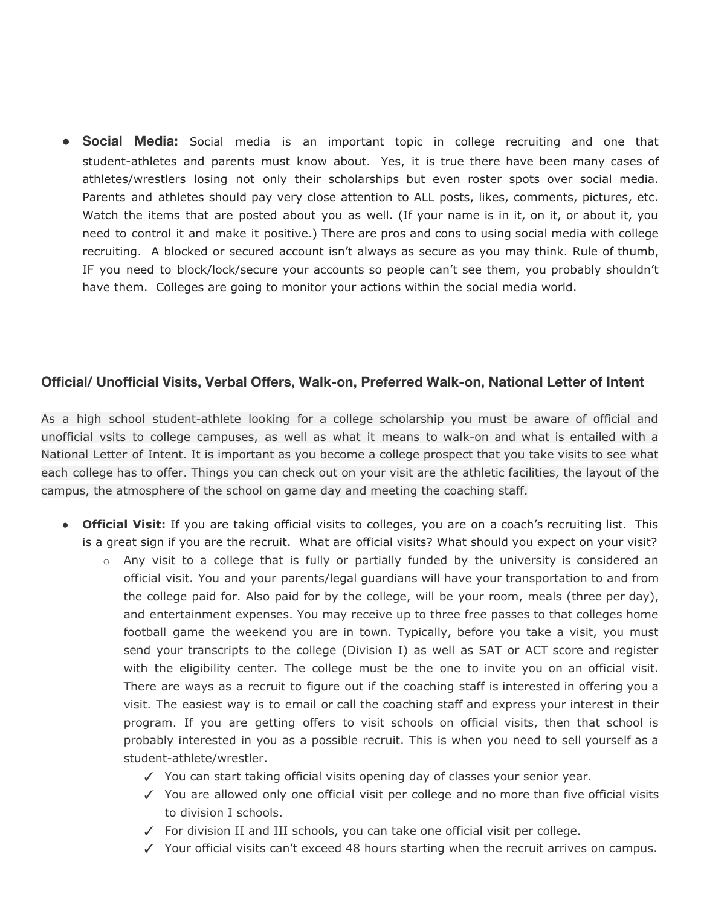**Social Media:** Social media is an important topic in college recruiting and one that student-athletes and parents must know about. Yes, it is true there have been many cases of athletes/wrestlers losing not only their scholarships but even roster spots over social media. Parents and athletes should pay very close attention to ALL posts, likes, comments, pictures, etc. Watch the items that are posted about you as well. (If your name is in it, on it, or about it, you need to control it and make it positive.) There are pros and cons to using social media with college recruiting. A blocked or secured account isn't always as secure as you may think. Rule of thumb, IF you need to block/lock/secure your accounts so people can't see them, you probably shouldn't have them. Colleges are going to monitor your actions within the social media world.

#### **Official/ Unofficial Visits, Verbal Offers, Walk-on, Preferred Walk-on, National Letter of Intent**

As a high school student-athlete looking for a college scholarship you must be aware of official and unofficial vsits to college campuses, as well as what it means to walk-on and what is entailed with a National Letter of Intent. It is important as you become a college prospect that you take visits to see what each college has to offer. Things you can check out on your visit are the athletic facilities, the layout of the campus, the atmosphere of the school on game day and meeting the coaching staff.

- **● Official Visit:** If you are taking official visits to colleges, you are on a coach's recruiting list. This is a great sign if you are the recruit. What are official visits? What should you expect on your visit?
	- o Any visit to a college that is fully or partially funded by the university is considered an official visit. You and your parents/legal guardians will have your transportation to and from the college paid for. Also paid for by the college, will be your room, meals (three per day), and entertainment expenses. You may receive up to three free passes to that colleges home football game the weekend you are in town. Typically, before you take a visit, you must send your transcripts to the college (Division I) as well as SAT or ACT score and register with the eligibility center. The college must be the one to invite you on an official visit. There are ways as a recruit to figure out if the coaching staff is interested in offering you a visit. The easiest way is to email or call the coaching staff and express your interest in their program. If you are getting offers to visit schools on official visits, then that school is probably interested in you as a possible recruit. This is when you need to sell yourself as a student-athlete/wrestler.
		- ✓ You can start taking official visits opening day of classes your senior year.
		- ✓ You are allowed only one official visit per college and no more than five official visits to division I schools.
		- ✓ For division II and III schools, you can take one official visit per college.
		- ✓ Your official visits can't exceed 48 hours starting when the recruit arrives on campus.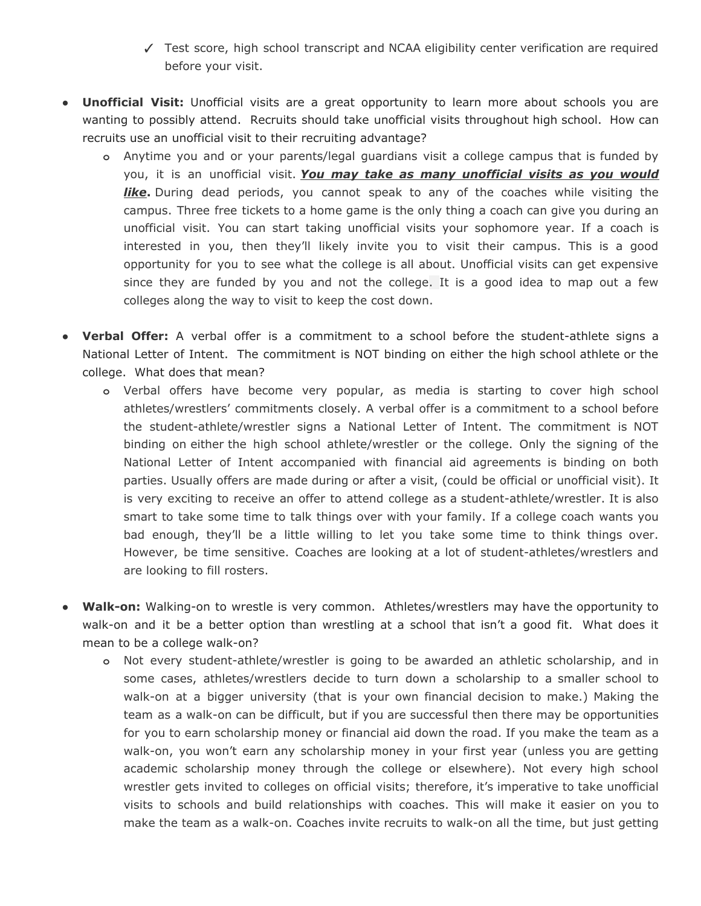- ✓ Test score, high school transcript and NCAA eligibility center verification are required before your visit.
- **● Unofficial Visit:** Unofficial visits are a great opportunity to learn more about schools you are wanting to possibly attend. Recruits should take unofficial visits throughout high school. How can recruits use an unofficial visit to their recruiting advantage?
	- **o** Anytime you and or your parents/legal guardians visit a college campus that is funded by you, it is an unofficial visit. *You may take as many unofficial visits as you would like***.** During dead periods, you cannot speak to any of the coaches while visiting the campus. Three free tickets to a home game is the only thing a coach can give you during an unofficial visit. You can start taking unofficial visits your sophomore year. If a coach is interested in you, then they'll likely invite you to visit their campus. This is a good opportunity for you to see what the college is all about. Unofficial visits can get expensive since they are funded by you and not the college. It is a good idea to map out a few colleges along the way to visit to keep the cost down.
- **● Verbal Offer:** A verbal offer is a commitment to a school before the student-athlete signs a National Letter of Intent. The commitment is NOT binding on either the high school athlete or the college. What does that mean?
	- **o** Verbal offers have become very popular, as media is starting to cover high school athletes/wrestlers' commitments closely. A verbal offer is a commitment to a school before the student-athlete/wrestler signs a National Letter of Intent. The commitment is NOT binding on either the high school athlete/wrestler or the college. Only the signing of the National Letter of Intent accompanied with financial aid agreements is binding on both parties. Usually offers are made during or after a visit, (could be official or unofficial visit). It is very exciting to receive an offer to attend college as a student-athlete/wrestler. It is also smart to take some time to talk things over with your family. If a college coach wants you bad enough, they'll be a little willing to let you take some time to think things over. However, be time sensitive. Coaches are looking at a lot of student-athletes/wrestlers and are looking to fill rosters.
- **● Walk-on:** Walking-on to wrestle is very common. Athletes/wrestlers may have the opportunity to walk-on and it be a better option than wrestling at a school that isn't a good fit. What does it mean to be a college walk-on?
	- **o** Not every student-athlete/wrestler is going to be awarded an athletic scholarship, and in some cases, athletes/wrestlers decide to turn down a scholarship to a smaller school to walk-on at a bigger university (that is your own financial decision to make.) Making the team as a walk-on can be difficult, but if you are successful then there may be opportunities for you to earn scholarship money or financial aid down the road. If you make the team as a walk-on, you won't earn any scholarship money in your first year (unless you are getting academic scholarship money through the college or elsewhere). Not every high school wrestler gets invited to colleges on official visits; therefore, it's imperative to take unofficial visits to schools and build relationships with coaches. This will make it easier on you to make the team as a walk-on. Coaches invite recruits to walk-on all the time, but just getting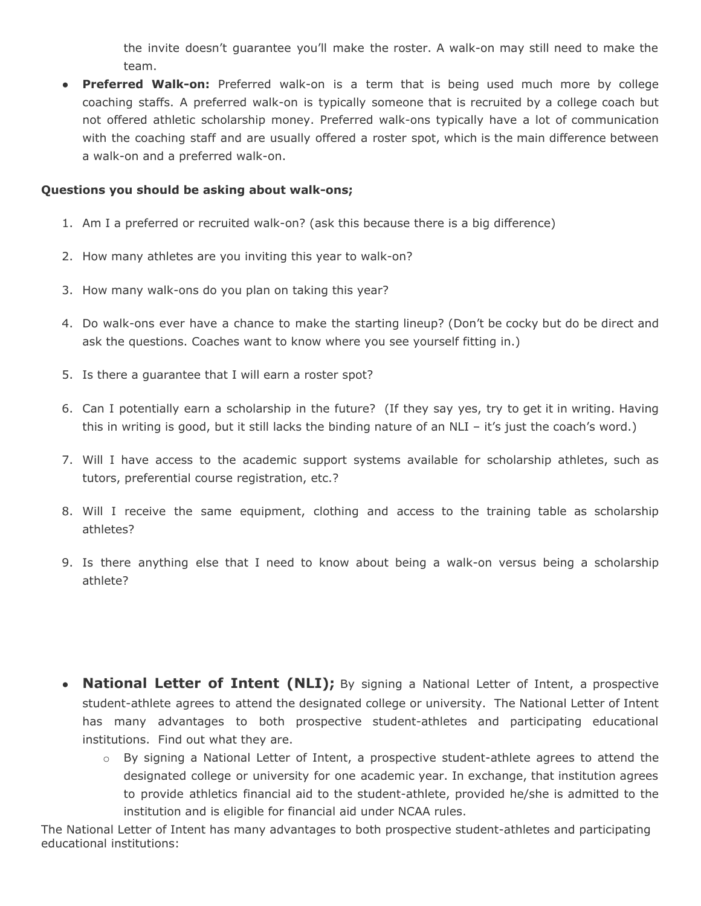the invite doesn't guarantee you'll make the roster. A walk-on may still need to make the team.

**● Preferred Walk-on:** Preferred walk-on is a term that is being used much more by college coaching staffs. A preferred walk-on is typically someone that is recruited by a college coach but not offered athletic scholarship money. Preferred walk-ons typically have a lot of communication with the coaching staff and are usually offered a roster spot, which is the main difference between a walk-on and a preferred walk-on.

#### **Questions you should be asking about walk-ons;**

- 1. Am I a preferred or recruited walk-on? (ask this because there is a big difference)
- 2. How many athletes are you inviting this year to walk-on?
- 3. How many walk-ons do you plan on taking this year?
- 4. Do walk-ons ever have a chance to make the starting lineup? (Don't be cocky but do be direct and ask the questions. Coaches want to know where you see yourself fitting in.)
- 5. Is there a guarantee that I will earn a roster spot?
- 6. Can I potentially earn a scholarship in the future? (If they say yes, try to get it in writing. Having this in writing is good, but it still lacks the binding nature of an NLI – it's just the coach's word.)
- 7. Will I have access to the academic support systems available for scholarship athletes, such as tutors, preferential course registration, etc.?
- 8. Will I receive the same equipment, clothing and access to the training table as scholarship athletes?
- 9. Is there anything else that I need to know about being a walk-on versus being a scholarship athlete?
- **National Letter of Intent (NLI);** By signing a National Letter of Intent, a prospective student-athlete agrees to attend the designated college or university. The National Letter of Intent has many advantages to both prospective student-athletes and participating educational institutions. Find out what they are.
	- $\circ$  By signing a National Letter of Intent, a prospective student-athlete agrees to attend the designated college or university for one academic year. In exchange, that institution agrees to provide athletics financial aid to the student-athlete, provided he/she is admitted to the institution and is eligible for financial aid under NCAA rules.

The National Letter of Intent has many advantages to both prospective student-athletes and participating educational institutions: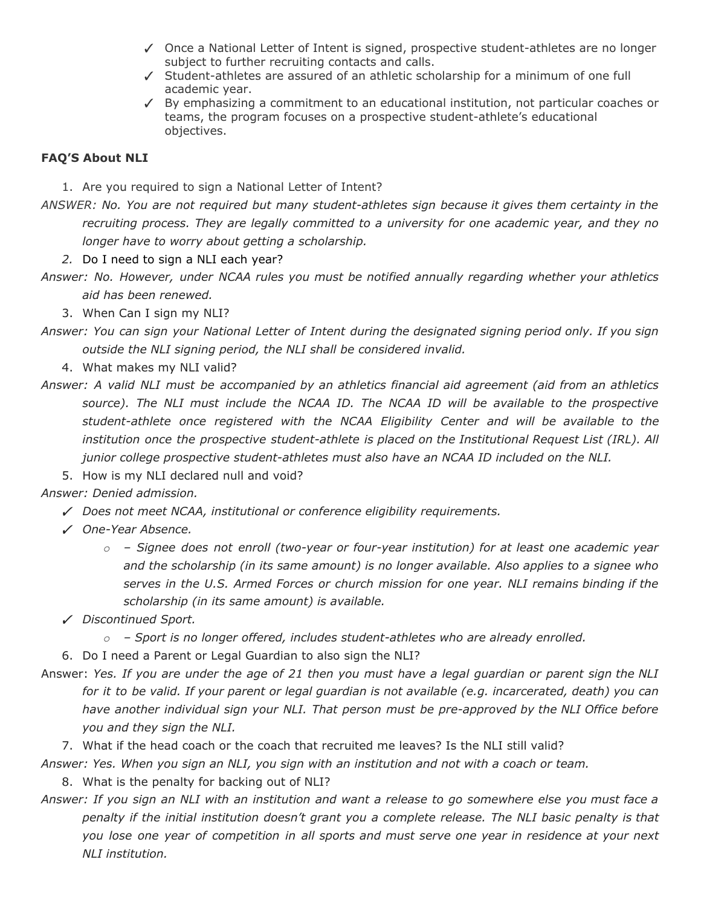- ✓ Once a National Letter of Intent is signed, prospective student-athletes are no longer subject to further recruiting contacts and calls.
- ✓ Student-athletes are assured of an athletic scholarship for a minimum of one full academic year.
- ✓ By emphasizing a commitment to an educational institution, not particular coaches or teams, the program focuses on a prospective student-athlete's educational objectives.

### **FAQ'S About NLI**

- 1. Are you required to sign a National Letter of Intent?
- *ANSWER: No. You are not required but many student-athletes sign because it gives them certainty in the recruiting process. They are legally committed to a university for one academic year, and they no longer have to worry about getting a scholarship.*
	- *2.* Do I need to sign a NLI each year?
- *Answer: No. However, under NCAA rules you must be notified annually regarding whether your athletics aid has been renewed.*
	- 3. When Can I sign my NLI?
- Answer: You can sign your National Letter of Intent during the designated signing period only. If you sign *outside the NLI signing period, the NLI shall be considered invalid.*
	- 4. What makes my NLI valid?
- *Answer: A valid NLI must be accompanied by an athletics financial aid agreement (aid from an athletics source). The NLI must include the NCAA ID. The NCAA ID will be available to the prospective student-athlete once registered with the NCAA Eligibility Center and will be available to the institution once the prospective student-athlete is placed on the Institutional Request List (IRL). All junior college prospective student-athletes must also have an NCAA ID included on the NLI.*
	- 5. How is my NLI declared null and void?

*Answer: Denied admission.*

- ✓ *Does not meet NCAA, institutional or conference eligibility requirements.*
- ✓ *One-Year Absence.*
	- *o – Signee does not enroll (two-year or four-year institution) for at least one academic year and the scholarship (in its same amount) is no longer available. Also applies to a signee who serves in the U.S. Armed Forces or church mission for one year. NLI remains binding if the scholarship (in its same amount) is available.*

✓ *Discontinued Sport.*

- *o – Sport is no longer offered, includes student-athletes who are already enrolled.*
- 6. Do I need a Parent or Legal Guardian to also sign the NLI?
- Answer: Yes. If you are under the age of 21 then you must have a legal guardian or parent sign the NLI for it to be valid. If your parent or legal guardian is not available (e.g. incarcerated, death) you can *have another individual sign your NLI. That person must be pre-approved by the NLI Office before you and they sign the NLI.*
	- 7. What if the head coach or the coach that recruited me leaves? Is the NLI still valid?

Answer: Yes. When you sign an NLI, you sign with an institution and not with a coach or team.

8. What is the penalty for backing out of NLI?

Answer: If you sign an NLI with an institution and want a release to go somewhere else you must face a *penalty if the initial institution doesn't grant you a complete release. The NLI basic penalty is that* you lose one year of competition in all sports and must serve one year in residence at your next *NLI institution.*